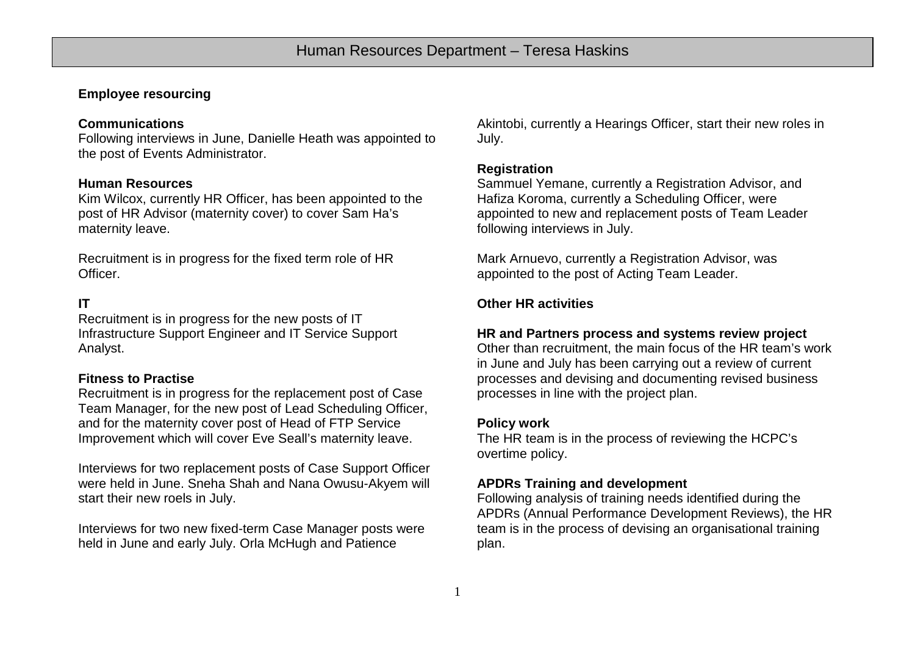# **Employee resourcing**

## **Communications**

Following interviews in June, Danielle Heath was appointed to the post of Events Administrator.

#### **Human Resources**

Kim Wilcox, currently HR Officer, has been appointed to the post of HR Advisor (maternity cover) to cover Sam Ha's maternity leave.

Recruitment is in progress for the fixed term role of HR Officer.

## **IT**

Recruitment is in progress for the new posts of IT Infrastructure Support Engineer and IT Service Support Analyst.

## **Fitness to Practise**

Recruitment is in progress for the replacement post of Case Team Manager, for the new post of Lead Scheduling Officer, and for the maternity cover post of Head of FTP Service Improvement which will cover Eve Seall's maternity leave.

Interviews for two replacement posts of Case Support Officer were held in June. Sneha Shah and Nana Owusu-Akyem will start their new roels in July.

Interviews for two new fixed-term Case Manager posts were held in June and early July. Orla McHugh and Patience

Akintobi, currently a Hearings Officer, start their new roles in July.

#### **Registration**

Sammuel Yemane, currently a Registration Advisor, and Hafiza Koroma, currently a Scheduling Officer, were appointed to new and replacement posts of Team Leader following interviews in July.

Mark Arnuevo, currently a Registration Advisor, was appointed to the post of Acting Team Leader.

#### **Other HR activities**

## **HR and Partners process and systems review project**

Other than recruitment, the main focus of the HR team's work in June and July has been carrying out a review of current processes and devising and documenting revised business processes in line with the project plan.

#### **Policy work**

The HR team is in the process of reviewing the HCPC's overtime policy.

## **APDRs Training and development**

Following analysis of training needs identified during the APDRs (Annual Performance Development Reviews), the HR team is in the process of devising an organisational training plan.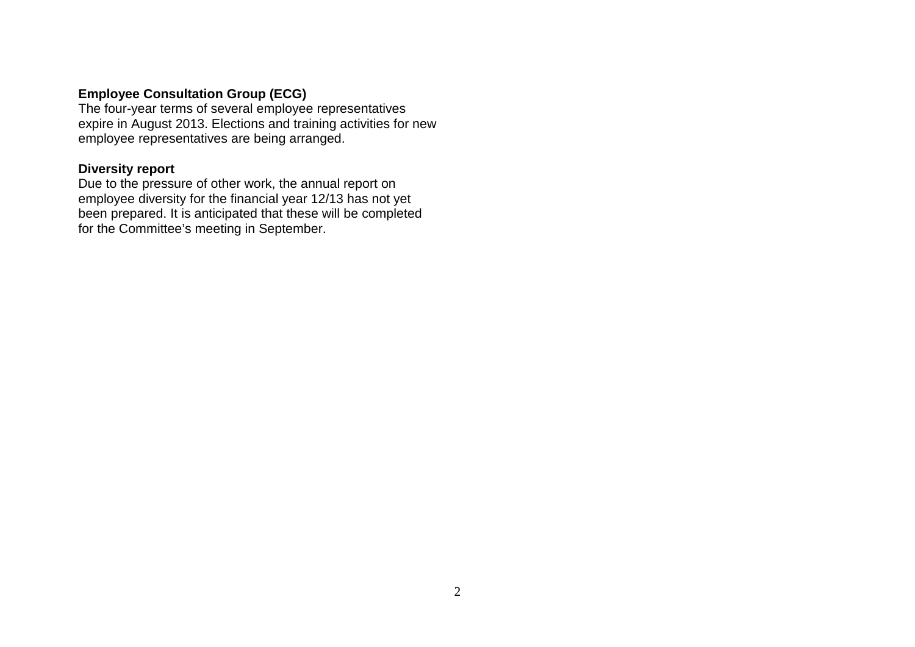# **Employee Consultation Group (ECG)**

The four-year terms of several employee representatives expire in August 2013. Elections and training activities for new employee representatives are being arranged.

# **Diversity report**

Due to the pressure of other work, the annual report on employee diversity for the financial year 12/13 has not yet been prepared. It is anticipated that these will be completed for the Committee's meeting in September.